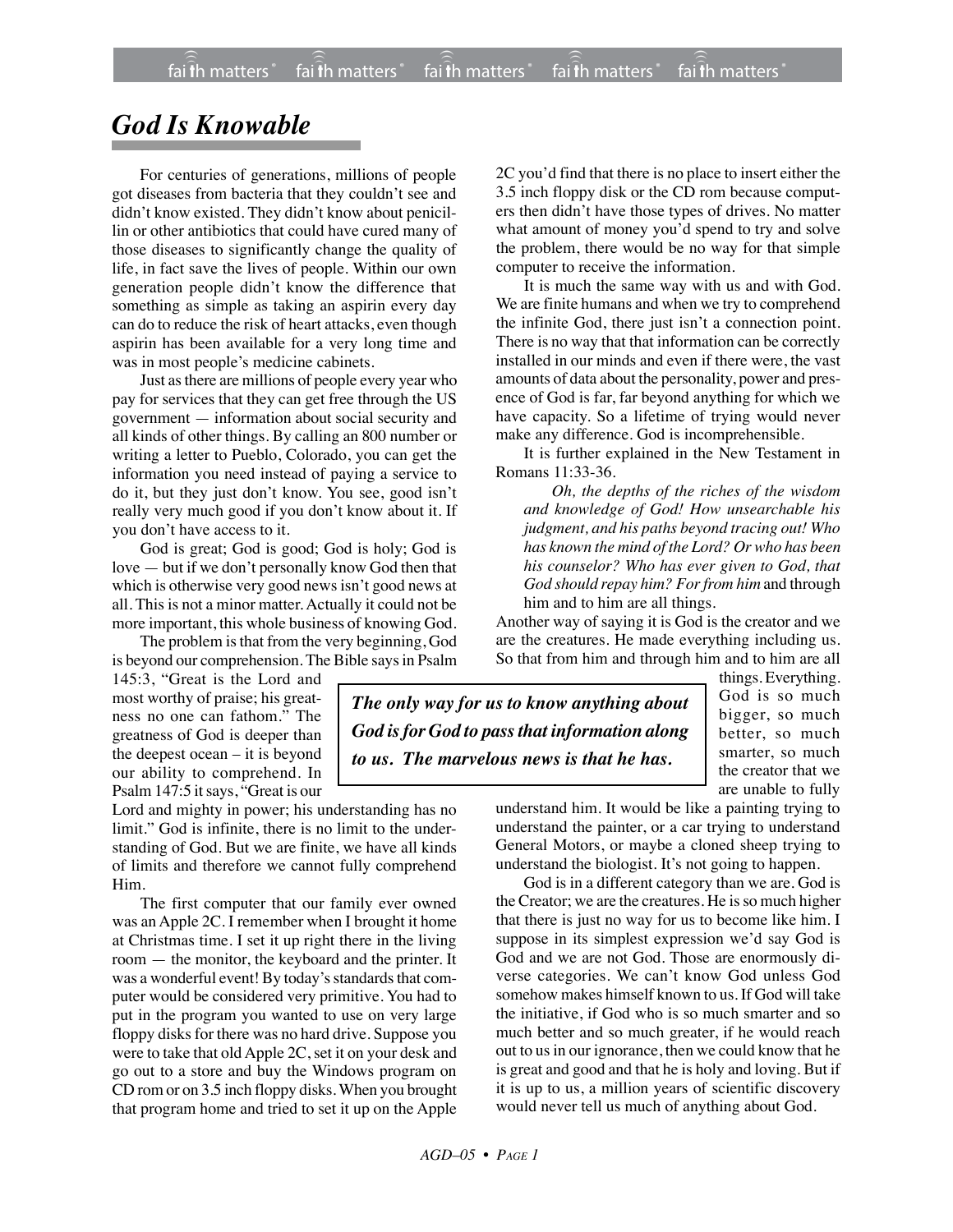## *God Is Knowable*

For centuries of generations, millions of people got diseases from bacteria that they couldn't see and didn't know existed. They didn't know about penicillin or other antibiotics that could have cured many of those diseases to significantly change the quality of life, in fact save the lives of people. Within our own generation people didn't know the difference that something as simple as taking an aspirin every day can do to reduce the risk of heart attacks, even though aspirin has been available for a very long time and was in most people's medicine cabinets.

Just as there are millions of people every year who pay for services that they can get free through the US government — information about social security and all kinds of other things. By calling an 800 number or writing a letter to Pueblo, Colorado, you can get the information you need instead of paying a service to do it, but they just don't know. You see, good isn't really very much good if you don't know about it. If you don't have access to it.

God is great; God is good; God is holy; God is love — but if we don't personally know God then that which is otherwise very good news isn't good news at all. This is not a minor matter. Actually it could not be more important, this whole business of knowing God.

The problem is that from the very beginning, God is beyond our comprehension. The Bible says in Psalm

145:3, "Great is the Lord and most worthy of praise; his greatness no one can fathom." The greatness of God is deeper than the deepest ocean – it is beyond our ability to comprehend. In Psalm 147:5 it says, "Great is our

Lord and mighty in power; his understanding has no limit." God is infinite, there is no limit to the understanding of God. But we are finite, we have all kinds of limits and therefore we cannot fully comprehend Him.

The first computer that our family ever owned was an Apple 2C. I remember when I brought it home at Christmas time. I set it up right there in the living room — the monitor, the keyboard and the printer. It was a wonderful event! By today's standards that computer would be considered very primitive. You had to put in the program you wanted to use on very large floppy disks for there was no hard drive. Suppose you were to take that old Apple 2C, set it on your desk and go out to a store and buy the Windows program on CD rom or on 3.5 inch floppy disks.When you brought that program home and tried to set it up on the Apple

2C you'd find that there is no place to insert either the 3.5 inch floppy disk or the CD rom because computers then didn't have those types of drives. No matter what amount of money you'd spend to try and solve the problem, there would be no way for that simple computer to receive the information.

It is much the same way with us and with God. We are finite humans and when we try to comprehend the infinite God, there just isn't a connection point. There is no way that that information can be correctly installed in our minds and even if there were, the vast amounts of data about the personality, power and presence of God is far, far beyond anything for which we have capacity. So a lifetime of trying would never make any difference. God is incomprehensible.

It is further explained in the New Testament in Romans 11:33-36.

*Oh, the depths of the riches of the wisdom and knowledge of God! How unsearchable his judgment, and his paths beyond tracing out! Who has known the mind of the Lord? Or who has been his counselor? Who has ever given to God, that God should repay him? For from him* and through him and to him are all things.

Another way of saying it is God is the creator and we are the creatures. He made everything including us. So that from him and through him and to him are all

*The only way for us to know anything about God is for God to pass that information along to us. The marvelous news is that he has.*

things. Everything. God is so much bigger, so much better, so much smarter, so much the creator that we are unable to fully

understand him. It would be like a painting trying to understand the painter, or a car trying to understand General Motors, or maybe a cloned sheep trying to understand the biologist. It's not going to happen.

God is in a different category than we are. God is the Creator; we are the creatures. He is so much higher that there is just no way for us to become like him. I suppose in its simplest expression we'd say God is God and we are not God. Those are enormously diverse categories. We can't know God unless God somehow makes himself known to us. If God will take the initiative, if God who is so much smarter and so much better and so much greater, if he would reach out to us in our ignorance, then we could know that he is great and good and that he is holy and loving. But if it is up to us, a million years of scientific discovery would never tell us much of anything about God.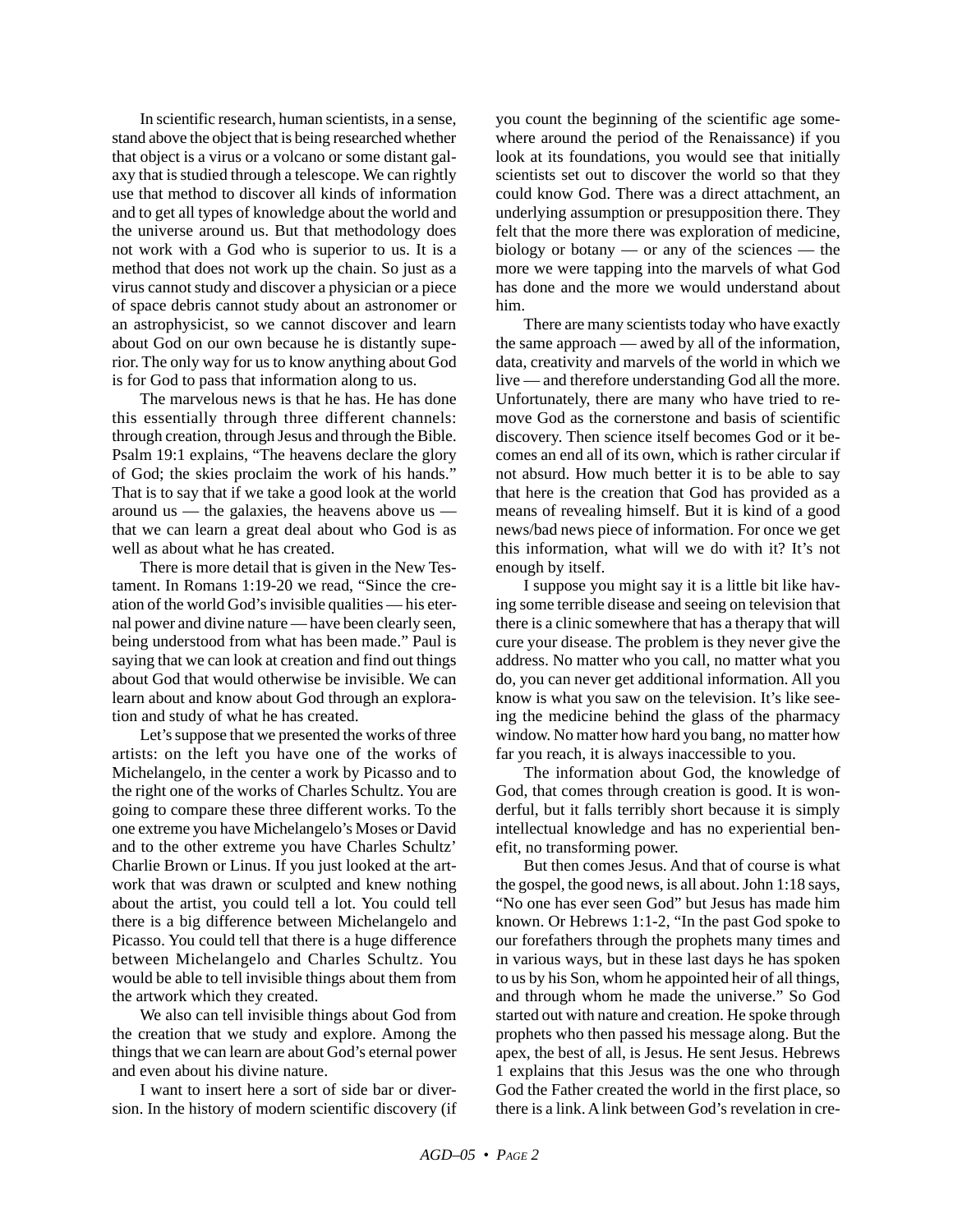In scientific research, human scientists, in a sense, stand above the object that is being researched whether that object is a virus or a volcano or some distant galaxy that is studied through a telescope. We can rightly use that method to discover all kinds of information and to get all types of knowledge about the world and the universe around us. But that methodology does not work with a God who is superior to us. It is a method that does not work up the chain. So just as a virus cannot study and discover a physician or a piece of space debris cannot study about an astronomer or an astrophysicist, so we cannot discover and learn about God on our own because he is distantly superior. The only way for us to know anything about God is for God to pass that information along to us.

The marvelous news is that he has. He has done this essentially through three different channels: through creation, through Jesus and through the Bible. Psalm 19:1 explains, "The heavens declare the glory of God; the skies proclaim the work of his hands." That is to say that if we take a good look at the world around us — the galaxies, the heavens above us that we can learn a great deal about who God is as well as about what he has created.

There is more detail that is given in the New Testament. In Romans 1:19-20 we read, "Since the creation of the world God's invisible qualities — his eternal power and divine nature — have been clearly seen, being understood from what has been made." Paul is saying that we can look at creation and find out things about God that would otherwise be invisible. We can learn about and know about God through an exploration and study of what he has created.

Let's suppose that we presented the works of three artists: on the left you have one of the works of Michelangelo, in the center a work by Picasso and to the right one of the works of Charles Schultz. You are going to compare these three different works. To the one extreme you have Michelangelo's Moses or David and to the other extreme you have Charles Schultz' Charlie Brown or Linus. If you just looked at the artwork that was drawn or sculpted and knew nothing about the artist, you could tell a lot. You could tell there is a big difference between Michelangelo and Picasso. You could tell that there is a huge difference between Michelangelo and Charles Schultz. You would be able to tell invisible things about them from the artwork which they created.

We also can tell invisible things about God from the creation that we study and explore. Among the things that we can learn are about God's eternal power and even about his divine nature.

I want to insert here a sort of side bar or diversion. In the history of modern scientific discovery (if you count the beginning of the scientific age somewhere around the period of the Renaissance) if you look at its foundations, you would see that initially scientists set out to discover the world so that they could know God. There was a direct attachment, an underlying assumption or presupposition there. They felt that the more there was exploration of medicine, biology or botany — or any of the sciences — the more we were tapping into the marvels of what God has done and the more we would understand about him.

There are many scientists today who have exactly the same approach — awed by all of the information, data, creativity and marvels of the world in which we live — and therefore understanding God all the more. Unfortunately, there are many who have tried to remove God as the cornerstone and basis of scientific discovery. Then science itself becomes God or it becomes an end all of its own, which is rather circular if not absurd. How much better it is to be able to say that here is the creation that God has provided as a means of revealing himself. But it is kind of a good news/bad news piece of information. For once we get this information, what will we do with it? It's not enough by itself.

I suppose you might say it is a little bit like having some terrible disease and seeing on television that there is a clinic somewhere that has a therapy that will cure your disease. The problem is they never give the address. No matter who you call, no matter what you do, you can never get additional information. All you know is what you saw on the television. It's like seeing the medicine behind the glass of the pharmacy window. No matter how hard you bang, no matter how far you reach, it is always inaccessible to you.

The information about God, the knowledge of God, that comes through creation is good. It is wonderful, but it falls terribly short because it is simply intellectual knowledge and has no experiential benefit, no transforming power.

But then comes Jesus. And that of course is what the gospel, the good news, is all about. John 1:18 says, "No one has ever seen God" but Jesus has made him known. Or Hebrews 1:1-2, "In the past God spoke to our forefathers through the prophets many times and in various ways, but in these last days he has spoken to us by his Son, whom he appointed heir of all things, and through whom he made the universe." So God started out with nature and creation. He spoke through prophets who then passed his message along. But the apex, the best of all, is Jesus. He sent Jesus. Hebrews 1 explains that this Jesus was the one who through God the Father created the world in the first place, so there is a link. A link between God's revelation in cre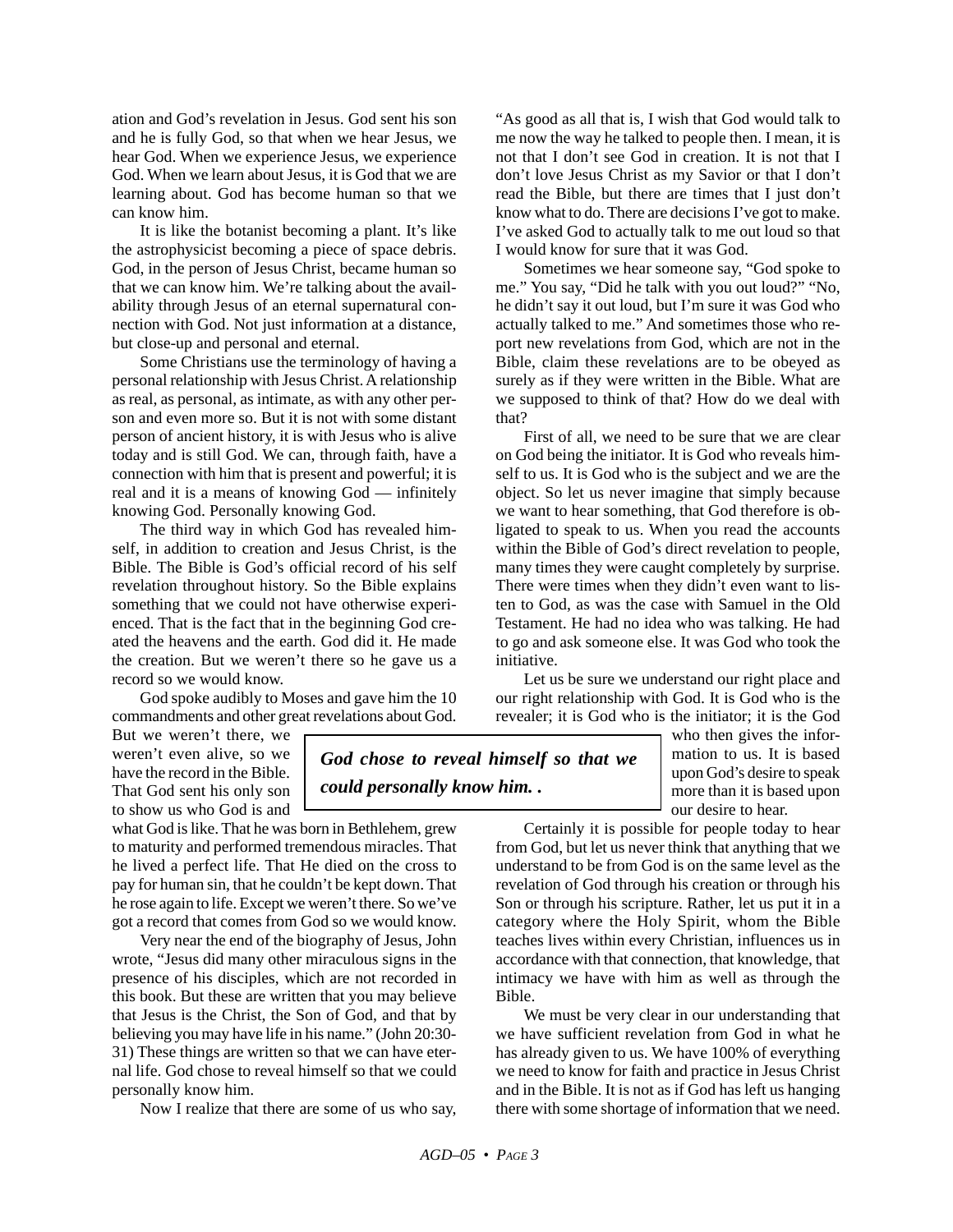ation and God's revelation in Jesus. God sent his son and he is fully God, so that when we hear Jesus, we hear God. When we experience Jesus, we experience God. When we learn about Jesus, it is God that we are learning about. God has become human so that we can know him.

It is like the botanist becoming a plant. It's like the astrophysicist becoming a piece of space debris. God, in the person of Jesus Christ, became human so that we can know him. We're talking about the availability through Jesus of an eternal supernatural connection with God. Not just information at a distance, but close-up and personal and eternal.

Some Christians use the terminology of having a personal relationship with Jesus Christ. A relationship as real, as personal, as intimate, as with any other person and even more so. But it is not with some distant person of ancient history, it is with Jesus who is alive today and is still God. We can, through faith, have a connection with him that is present and powerful; it is real and it is a means of knowing God — infinitely knowing God. Personally knowing God.

The third way in which God has revealed himself, in addition to creation and Jesus Christ, is the Bible. The Bible is God's official record of his self revelation throughout history. So the Bible explains something that we could not have otherwise experienced. That is the fact that in the beginning God created the heavens and the earth. God did it. He made the creation. But we weren't there so he gave us a record so we would know.

God spoke audibly to Moses and gave him the 10 commandments and other great revelations about God.

But we weren't there, we weren't even alive, so we have the record in the Bible. That God sent his only son to show us who God is and

what God is like. That he was born in Bethlehem, grew to maturity and performed tremendous miracles. That he lived a perfect life. That He died on the cross to pay for human sin, that he couldn't be kept down. That he rose again to life. Except we weren't there. So we've got a record that comes from God so we would know.

Very near the end of the biography of Jesus, John wrote, "Jesus did many other miraculous signs in the presence of his disciples, which are not recorded in this book. But these are written that you may believe that Jesus is the Christ, the Son of God, and that by believing you may have life in his name." (John 20:30- 31) These things are written so that we can have eternal life. God chose to reveal himself so that we could personally know him.

Now I realize that there are some of us who say,

"As good as all that is, I wish that God would talk to me now the way he talked to people then. I mean, it is not that I don't see God in creation. It is not that I don't love Jesus Christ as my Savior or that I don't read the Bible, but there are times that I just don't know what to do. There are decisions I've got to make. I've asked God to actually talk to me out loud so that I would know for sure that it was God.

Sometimes we hear someone say, "God spoke to me." You say, "Did he talk with you out loud?" "No, he didn't say it out loud, but I'm sure it was God who actually talked to me." And sometimes those who report new revelations from God, which are not in the Bible, claim these revelations are to be obeyed as surely as if they were written in the Bible. What are we supposed to think of that? How do we deal with that?

First of all, we need to be sure that we are clear on God being the initiator. It is God who reveals himself to us. It is God who is the subject and we are the object. So let us never imagine that simply because we want to hear something, that God therefore is obligated to speak to us. When you read the accounts within the Bible of God's direct revelation to people, many times they were caught completely by surprise. There were times when they didn't even want to listen to God, as was the case with Samuel in the Old Testament. He had no idea who was talking. He had to go and ask someone else. It was God who took the initiative.

Let us be sure we understand our right place and our right relationship with God. It is God who is the revealer; it is God who is the initiator; it is the God

> who then gives the information to us. It is based upon God's desire to speak more than it is based upon our desire to hear.

Certainly it is possible for people today to hear from God, but let us never think that anything that we understand to be from God is on the same level as the revelation of God through his creation or through his Son or through his scripture. Rather, let us put it in a category where the Holy Spirit, whom the Bible teaches lives within every Christian, influences us in accordance with that connection, that knowledge, that intimacy we have with him as well as through the Bible.

We must be very clear in our understanding that we have sufficient revelation from God in what he has already given to us. We have 100% of everything we need to know for faith and practice in Jesus Christ and in the Bible. It is not as if God has left us hanging there with some shortage of information that we need.

*God chose to reveal himself so that we could personally know him. .*